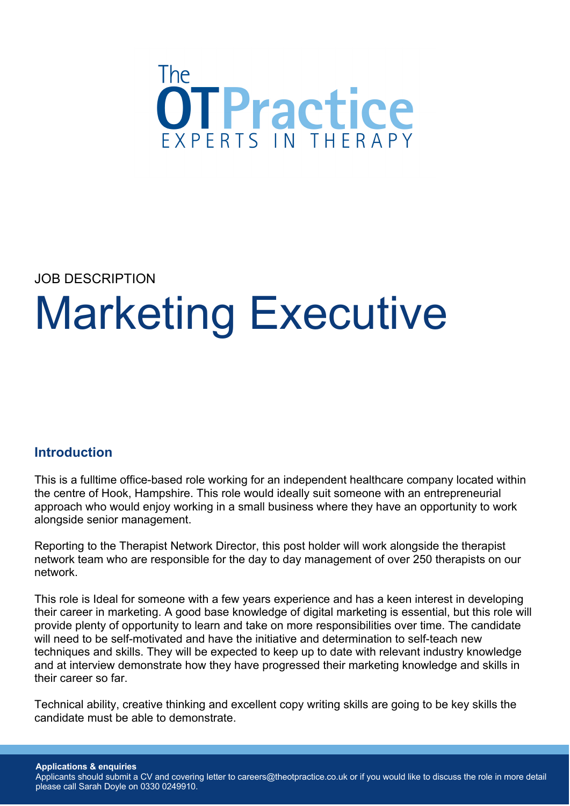

JOB DESCRIPTION

# Marketing Executive

### **Introduction**

This is a fulltime office-based role working for an independent healthcare company located within the centre of Hook, Hampshire. This role would ideally suit someone with an entrepreneurial approach who would enjoy working in a small business where they have an opportunity to work alongside senior management.

Reporting to the Therapist Network Director, this post holder will work alongside the therapist network team who are responsible for the day to day management of over 250 therapists on our network.

This role is Ideal for someone with a few years experience and has a keen interest in developing their career in marketing. A good base knowledge of digital marketing is essential, but this role will provide plenty of opportunity to learn and take on more responsibilities over time. The candidate will need to be self-motivated and have the initiative and determination to self-teach new techniques and skills. They will be expected to keep up to date with relevant industry knowledge and at interview demonstrate how they have progressed their marketing knowledge and skills in their career so far.

Technical ability, creative thinking and excellent copy writing skills are going to be key skills the candidate must be able to demonstrate.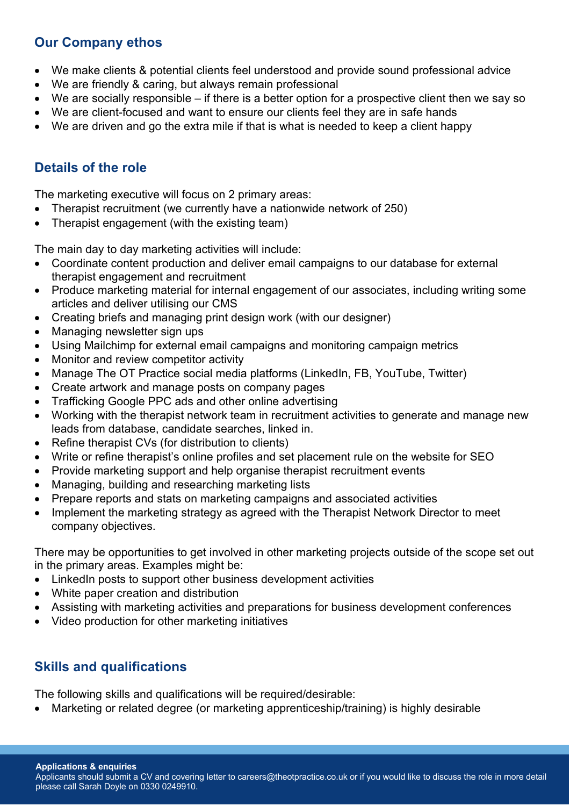## **Our Company ethos**

- We make clients & potential clients feel understood and provide sound professional advice
- We are friendly & caring, but always remain professional
- We are socially responsible if there is a better option for a prospective client then we say so
- We are client-focused and want to ensure our clients feel they are in safe hands
- We are driven and go the extra mile if that is what is needed to keep a client happy

## **Details of the role**

The marketing executive will focus on 2 primary areas:

- Therapist recruitment (we currently have a nationwide network of 250)
- Therapist engagement (with the existing team)

The main day to day marketing activities will include:

- Coordinate content production and deliver email campaigns to our database for external therapist engagement and recruitment
- Produce marketing material for internal engagement of our associates, including writing some articles and deliver utilising our CMS
- Creating briefs and managing print design work (with our designer)
- Managing newsletter sign ups
- Using Mailchimp for external email campaigns and monitoring campaign metrics
- Monitor and review competitor activity
- Manage The OT Practice social media platforms (LinkedIn, FB, YouTube, Twitter)
- Create artwork and manage posts on company pages
- Trafficking Google PPC ads and other online advertising
- Working with the therapist network team in recruitment activities to generate and manage new leads from database, candidate searches, linked in.
- Refine therapist CVs (for distribution to clients)
- Write or refine therapist's online profiles and set placement rule on the website for SEO
- Provide marketing support and help organise therapist recruitment events
- Managing, building and researching marketing lists
- Prepare reports and stats on marketing campaigns and associated activities
- Implement the marketing strategy as agreed with the Therapist Network Director to meet company objectives.

There may be opportunities to get involved in other marketing projects outside of the scope set out in the primary areas. Examples might be:

- LinkedIn posts to support other business development activities
- White paper creation and distribution
- Assisting with marketing activities and preparations for business development conferences
- Video production for other marketing initiatives

### **Skills and qualifications**

The following skills and qualifications will be required/desirable:

• Marketing or related degree (or marketing apprenticeship/training) is highly desirable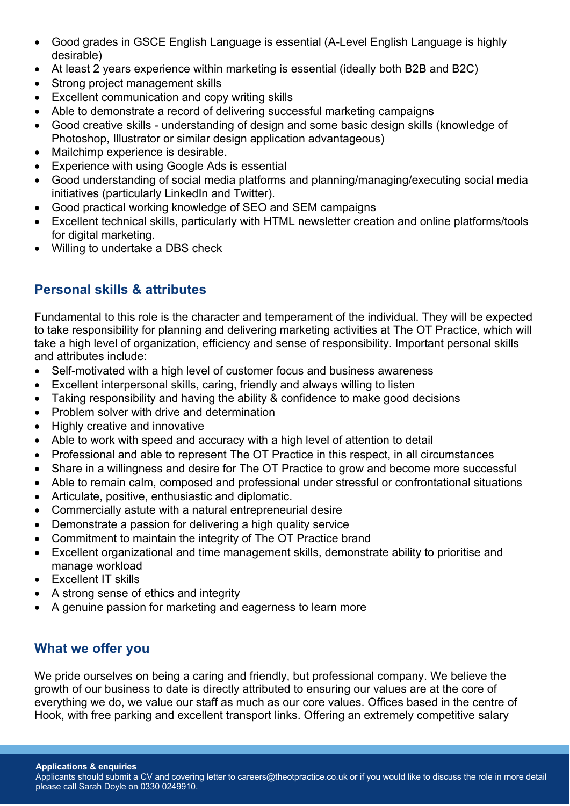- Good grades in GSCE English Language is essential (A-Level English Language is highly desirable)
- At least 2 years experience within marketing is essential (ideally both B2B and B2C)
- Strong project management skills
- Excellent communication and copy writing skills
- Able to demonstrate a record of delivering successful marketing campaigns
- Good creative skills understanding of design and some basic design skills (knowledge of Photoshop, Illustrator or similar design application advantageous)
- Mailchimp experience is desirable.
- Experience with using Google Ads is essential
- Good understanding of social media platforms and planning/managing/executing social media initiatives (particularly LinkedIn and Twitter).
- Good practical working knowledge of SEO and SEM campaigns
- Excellent technical skills, particularly with HTML newsletter creation and online platforms/tools for digital marketing.
- Willing to undertake a DBS check

## **Personal skills & attributes**

Fundamental to this role is the character and temperament of the individual. They will be expected to take responsibility for planning and delivering marketing activities at The OT Practice, which will take a high level of organization, efficiency and sense of responsibility. Important personal skills and attributes include:

- Self-motivated with a high level of customer focus and business awareness
- Excellent interpersonal skills, caring, friendly and always willing to listen
- Taking responsibility and having the ability & confidence to make good decisions
- Problem solver with drive and determination
- Highly creative and innovative
- Able to work with speed and accuracy with a high level of attention to detail
- Professional and able to represent The OT Practice in this respect, in all circumstances
- Share in a willingness and desire for The OT Practice to grow and become more successful
- Able to remain calm, composed and professional under stressful or confrontational situations
- Articulate, positive, enthusiastic and diplomatic.
- Commercially astute with a natural entrepreneurial desire
- Demonstrate a passion for delivering a high quality service
- Commitment to maintain the integrity of The OT Practice brand
- Excellent organizational and time management skills, demonstrate ability to prioritise and manage workload
- **Excellent IT skills**
- A strong sense of ethics and integrity
- A genuine passion for marketing and eagerness to learn more

### **What we offer you**

We pride ourselves on being a caring and friendly, but professional company. We believe the growth of our business to date is directly attributed to ensuring our values are at the core of everything we do, we value our staff as much as our core values. Offices based in the centre of Hook, with free parking and excellent transport links. Offering an extremely competitive salary